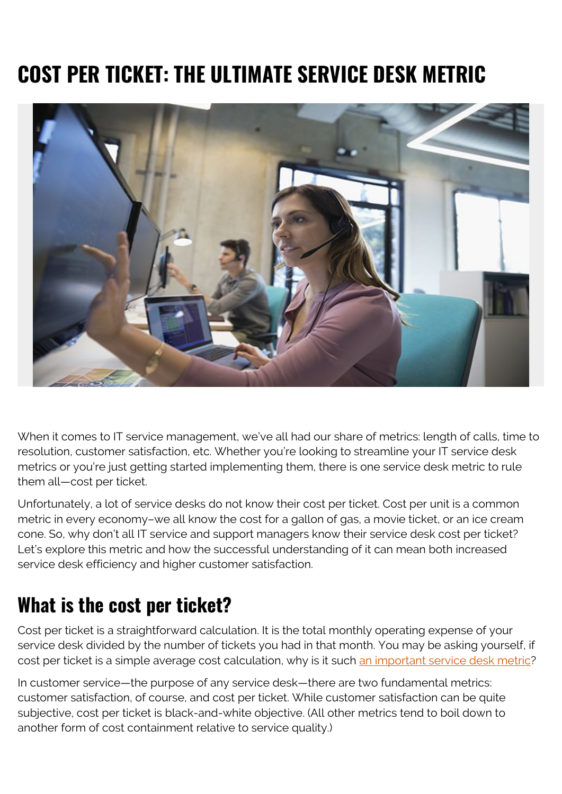# **COST PER TICKET: THE ULTIMATE SERVICE DESK METRIC**



When it comes to IT service management, we've all had our share of metrics: length of calls, time to resolution, customer satisfaction, etc. Whether you're looking to streamline your IT service desk metrics or you're just getting started implementing them, there is one service desk metric to rule them all—cost per ticket.

Unfortunately, a lot of service desks do not know their cost per ticket. Cost per unit is a common metric in every economy–we all know the cost for a gallon of gas, a movie ticket, or an ice cream cone. So, why don't all IT service and support managers know their service desk cost per ticket? Let's explore this metric and how the successful understanding of it can mean both increased service desk efficiency and higher customer satisfaction.

### **What is the cost per ticket?**

Cost per ticket is a straightforward calculation. It is the total monthly operating expense of your service desk divided by the number of tickets you had in that month. You may be asking yourself, if cost per ticket is a simple average cost calculation, why is it such [an important service desk metric](https://www.thinkhdi.com/library/supportworld/2017/metric-of-month-service-desk-cost-per-ticket)?

In customer service—the purpose of any service desk—there are two fundamental metrics: customer satisfaction, of course, and cost per ticket. While customer satisfaction can be quite subjective, cost per ticket is black-and-white objective. (All other metrics tend to boil down to another form of cost containment relative to service quality.)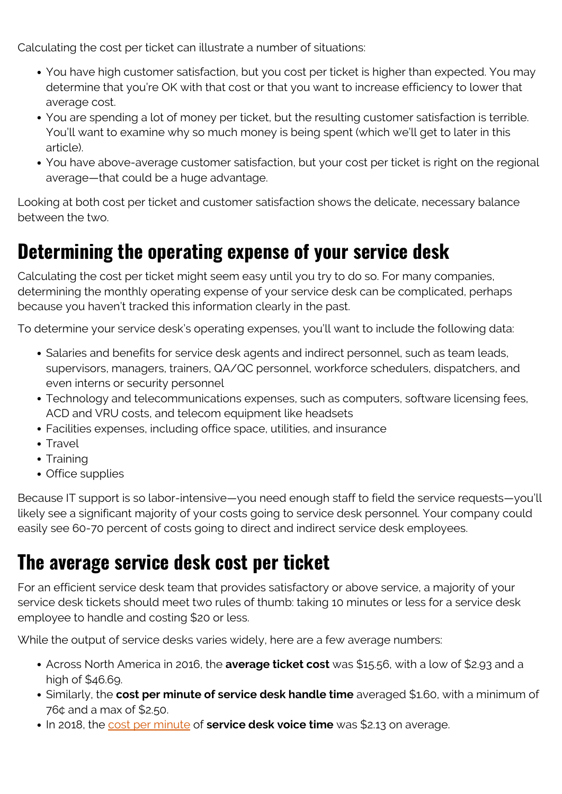Calculating the cost per ticket can illustrate a number of situations:

- You have high customer satisfaction, but you cost per ticket is higher than expected. You may determine that you're OK with that cost or that you want to increase efficiency to lower that average cost.
- You are spending a lot of money per ticket, but the resulting customer satisfaction is terrible. You'll want to examine why so much money is being spent (which we'll get to later in this article).
- You have above-average customer satisfaction, but your cost per ticket is right on the regional average—that could be a huge advantage.

Looking at both cost per ticket and customer satisfaction shows the delicate, necessary balance between the two.

### **Determining the operating expense of your service desk**

Calculating the cost per ticket might seem easy until you try to do so. For many companies, determining the monthly operating expense of your service desk can be complicated, perhaps because you haven't tracked this information clearly in the past.

To determine your service desk's operating expenses, you'll want to include the following data:

- Salaries and benefits for service desk agents and indirect personnel, such as team leads, supervisors, managers, trainers, QA/QC personnel, workforce schedulers, dispatchers, and even interns or security personnel
- Technology and telecommunications expenses, such as computers, software licensing fees, ACD and VRU costs, and telecom equipment like headsets
- Facilities expenses, including office space, utilities, and insurance
- Travel
- Training
- Office supplies

Because IT support is so labor-intensive—you need enough staff to field the service requests—you'll likely see a significant majority of your costs going to service desk personnel. Your company could easily see 60-70 percent of costs going to direct and indirect service desk employees.

### **The average service desk cost per ticket**

For an efficient service desk team that provides satisfactory or above service, a majority of your service desk tickets should meet two rules of thumb: taking 10 minutes or less for a service desk employee to handle and costing \$20 or less.

While the output of service desks varies widely, here are a few average numbers:

- Across North America in 2016, the **average ticket cost** was \$15.56, with a low of \$2.93 and a high of \$46.69.
- Similarly, the **cost per minute of service desk handle time** averaged \$1.60, with a minimum of 76¢ and a max of \$2.50.
- In 2018, the [cost per minute](https://www.metricnet.com/10-key-service-desk-statistics-2018-benchmark/) of **service desk voice time** was \$2.13 on average.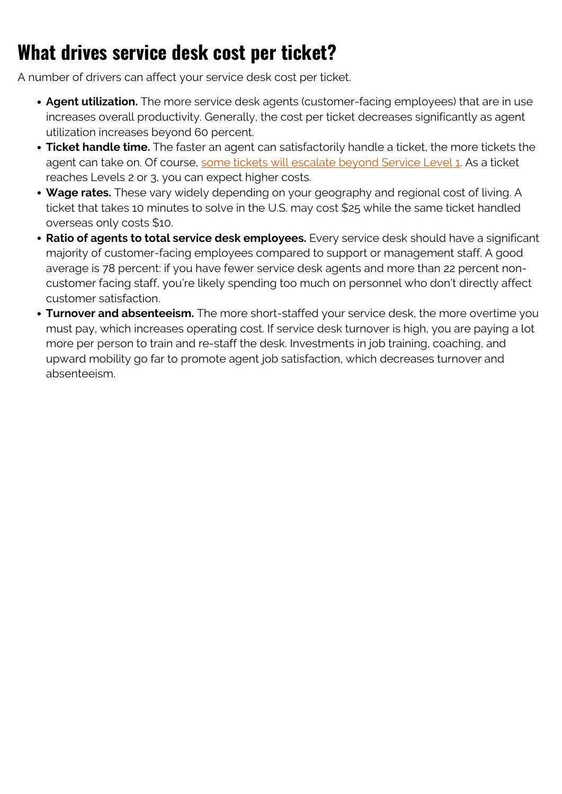## **What drives service desk cost per ticket?**

A number of drivers can affect your service desk cost per ticket.

- **Agent utilization.** The more service desk agents (customer-facing employees) that are in use increases overall productivity. Generally, the cost per ticket decreases significantly as agent utilization increases beyond 60 percent.
- **Ticket handle time.** The faster an agent can satisfactorily handle a ticket, the more tickets the agent can take on. Of course, [some tickets will escalate beyond Service Level 1.](https://blogs.bmc.com/blogs/support-levels-level-1-level-2-level-3/) As a ticket reaches Levels 2 or 3, you can expect higher costs.
- **Wage rates.** These vary widely depending on your geography and regional cost of living. A ticket that takes 10 minutes to solve in the U.S. may cost \$25 while the same ticket handled overseas only costs \$10.
- **Ratio of agents to total service desk employees.** Every service desk should have a significant majority of customer-facing employees compared to support or management staff. A good average is 78 percent: if you have fewer service desk agents and more than 22 percent noncustomer facing staff, you're likely spending too much on personnel who don't directly affect customer satisfaction.
- **Turnover and absenteeism.** The more short-staffed your service desk, the more overtime you must pay, which increases operating cost. If service desk turnover is high, you are paying a lot more per person to train and re-staff the desk. Investments in job training, coaching, and upward mobility go far to promote agent job satisfaction, which decreases turnover and absenteeism.